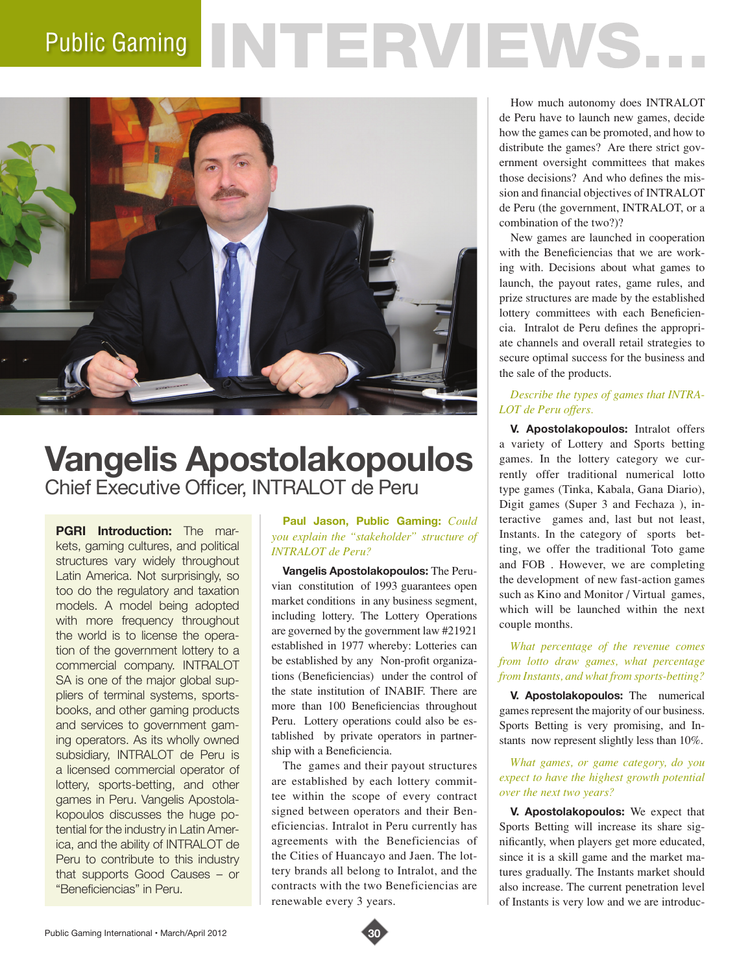# Public Gaming NTERVIEWS.



# **Vangelis Apostolakopoulos** Chief Executive Officer, INTRALOT de Peru

**PGRI Introduction:** The markets, gaming cultures, and political structures vary widely throughout Latin America. Not surprisingly, so too do the regulatory and taxation models. A model being adopted with more frequency throughout the world is to license the operation of the government lottery to a commercial company. INTRALOT SA is one of the major global suppliers of terminal systems, sportsbooks, and other gaming products and services to government gaming operators. As its wholly owned subsidiary, INTRALOT de Peru is a licensed commercial operator of lottery, sports-betting, and other games in Peru. Vangelis Apostolakopoulos discusses the huge potential for the industry in Latin America, and the ability of INTRALOT de Peru to contribute to this industry that supports Good Causes – or "Beneficiencias" in Peru.

#### **Paul Jason, Public Gaming:** *Could you explain the "stakeholder" structure of INTRALOT de Peru?*

**Vangelis Apostolakopoulos:** The Peruvian constitution of 1993 guarantees open market conditions in any business segment, including lottery. The Lottery Operations are governed by the government law #21921 established in 1977 whereby: Lotteries can be established by any Non-profit organizations (Beneficiencias) under the control of the state institution of INABIF. There are more than 100 Beneficiencias throughout Peru. Lottery operations could also be established by private operators in partnership with a Beneficiencia.

The games and their payout structures are established by each lottery committee within the scope of every contract signed between operators and their Beneficiencias. Intralot in Peru currently has agreements with the Beneficiencias of the Cities of Huancayo and Jaen. The lottery brands all belong to Intralot, and the contracts with the two Beneficiencias are renewable every 3 years.

How much autonomy does INTRALOT de Peru have to launch new games, decide how the games can be promoted, and how to distribute the games? Are there strict government oversight committees that makes those decisions? And who defines the mission and financial objectives of INTRALOT de Peru (the government, INTRALOT, or a combination of the two?)?

New games are launched in cooperation with the Beneficiencias that we are working with. Decisions about what games to launch, the payout rates, game rules, and prize structures are made by the established lottery committees with each Beneficiencia. Intralot de Peru defines the appropriate channels and overall retail strategies to secure optimal success for the business and the sale of the products.

# *Describe the types of games that INTRA-LOT de Peru offers.*

**V. Apostolakopoulos:** Intralot offers a variety of Lottery and Sports betting games. In the lottery category we currently offer traditional numerical lotto type games (Tinka, Kabala, Gana Diario), Digit games (Super 3 and Fechaza ), interactive games and, last but not least, Instants. In the category of sports betting, we offer the traditional Toto game and FOB . However, we are completing the development of new fast-action games such as Kino and Monitor / Virtual games, which will be launched within the next couple months.

### *What percentage of the revenue comes from lotto draw games, what percentage from Instants, and what from sports-betting?*

**V. Apostolakopoulos:** The numerical games represent the majority of our business. Sports Betting is very promising, and Instants now represent slightly less than 10%.

#### *What games, or game category, do you expect to have the highest growth potential over the next two years?*

**V. Apostolakopoulos:** We expect that Sports Betting will increase its share significantly, when players get more educated, since it is a skill game and the market matures gradually. The Instants market should also increase. The current penetration level of Instants is very low and we are introduc-

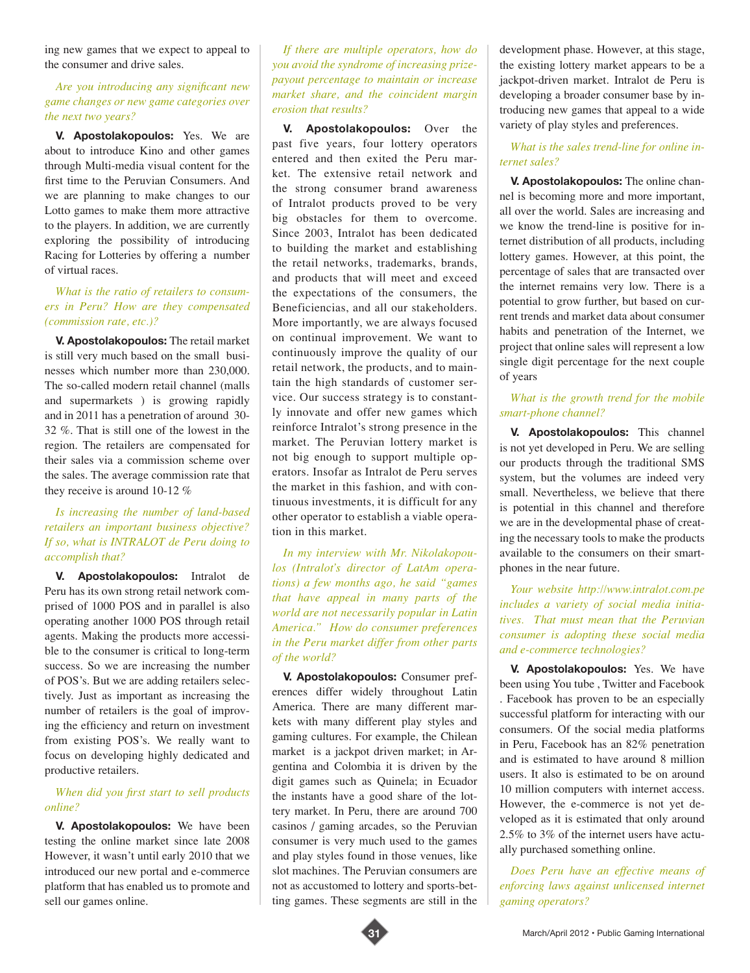ing new games that we expect to appeal to the consumer and drive sales.

#### *Are you introducing any significant new game changes or new game categories over the next two years?*

**V. Apostolakopoulos:** Yes. We are about to introduce Kino and other games through Multi-media visual content for the first time to the Peruvian Consumers. And we are planning to make changes to our Lotto games to make them more attractive to the players. In addition, we are currently exploring the possibility of introducing Racing for Lotteries by offering a number of virtual races.

#### *What is the ratio of retailers to consumers in Peru? How are they compensated (commission rate, etc.)?*

**V. Apostolakopoulos:** The retail market is still very much based on the small businesses which number more than 230,000. The so-called modern retail channel (malls and supermarkets ) is growing rapidly and in 2011 has a penetration of around 30- 32 %. That is still one of the lowest in the region. The retailers are compensated for their sales via a commission scheme over the sales. The average commission rate that they receive is around 10-12 %

#### *Is increasing the number of land-based retailers an important business objective? If so, what is INTRALOT de Peru doing to accomplish that?*

**V. Apostolakopoulos:** Intralot de Peru has its own strong retail network comprised of 1000 POS and in parallel is also operating another 1000 POS through retail agents. Making the products more accessible to the consumer is critical to long-term success. So we are increasing the number of POS's. But we are adding retailers selectively. Just as important as increasing the number of retailers is the goal of improving the efficiency and return on investment from existing POS's. We really want to focus on developing highly dedicated and productive retailers.

#### *When did you first start to sell products online?*

**V. Apostolakopoulos:** We have been testing the online market since late 2008 However, it wasn't until early 2010 that we introduced our new portal and e-commerce platform that has enabled us to promote and sell our games online.

*If there are multiple operators, how do you avoid the syndrome of increasing prizepayout percentage to maintain or increase market share, and the coincident margin erosion that results?*

**V. Apostolakopoulos:** Over the past five years, four lottery operators entered and then exited the Peru market. The extensive retail network and the strong consumer brand awareness of Intralot products proved to be very big obstacles for them to overcome. Since 2003, Intralot has been dedicated to building the market and establishing the retail networks, trademarks, brands, and products that will meet and exceed the expectations of the consumers, the Beneficiencias, and all our stakeholders. More importantly, we are always focused on continual improvement. We want to continuously improve the quality of our retail network, the products, and to maintain the high standards of customer service. Our success strategy is to constantly innovate and offer new games which reinforce Intralot's strong presence in the market. The Peruvian lottery market is not big enough to support multiple operators. Insofar as Intralot de Peru serves the market in this fashion, and with continuous investments, it is difficult for any other operator to establish a viable operation in this market.

*In my interview with Mr. Nikolakopoulos (Intralot's director of LatAm operations) a few months ago, he said "games that have appeal in many parts of the world are not necessarily popular in Latin America." How do consumer preferences in the Peru market differ from other parts of the world?* 

**V. Apostolakopoulos:** Consumer preferences differ widely throughout Latin America. There are many different markets with many different play styles and gaming cultures. For example, the Chilean market is a jackpot driven market; in Argentina and Colombia it is driven by the digit games such as Quinela; in Ecuador the instants have a good share of the lottery market. In Peru, there are around 700 casinos / gaming arcades, so the Peruvian consumer is very much used to the games and play styles found in those venues, like slot machines. The Peruvian consumers are not as accustomed to lottery and sports-betting games. These segments are still in the

development phase. However, at this stage, the existing lottery market appears to be a jackpot-driven market. Intralot de Peru is developing a broader consumer base by introducing new games that appeal to a wide variety of play styles and preferences.

#### *What is the sales trend-line for online internet sales?*

**V. Apostolakopoulos:** The online channel is becoming more and more important, all over the world. Sales are increasing and we know the trend-line is positive for internet distribution of all products, including lottery games. However, at this point, the percentage of sales that are transacted over the internet remains very low. There is a potential to grow further, but based on current trends and market data about consumer habits and penetration of the Internet, we project that online sales will represent a low single digit percentage for the next couple of years

## *What is the growth trend for the mobile smart-phone channel?*

**V. Apostolakopoulos:** This channel is not yet developed in Peru. We are selling our products through the traditional SMS system, but the volumes are indeed very small. Nevertheless, we believe that there is potential in this channel and therefore we are in the developmental phase of creating the necessary tools to make the products available to the consumers on their smartphones in the near future.

*Your website http://www.intralot.com.pe includes a variety of social media initiatives. That must mean that the Peruvian consumer is adopting these social media and e-commerce technologies?* 

**V. Apostolakopoulos:** Yes. We have been using You tube , Twitter and Facebook . Facebook has proven to be an especially successful platform for interacting with our consumers. Of the social media platforms in Peru, Facebook has an 82% penetration and is estimated to have around 8 million users. It also is estimated to be on around 10 million computers with internet access. However, the e-commerce is not yet developed as it is estimated that only around 2.5% to 3% of the internet users have actually purchased something online.

*Does Peru have an effective means of enforcing laws against unlicensed internet gaming operators?*